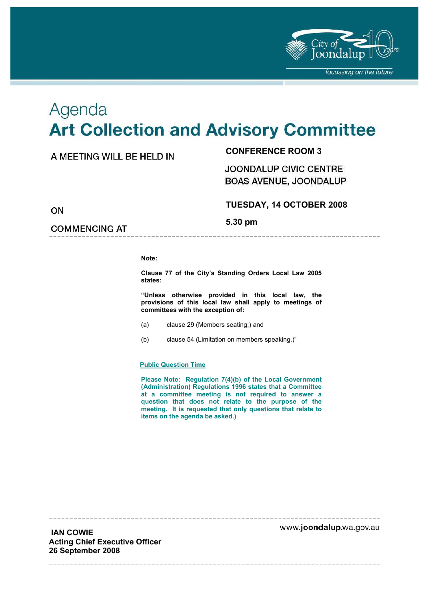

# Agenda **Art Collection and Advisory Committee**

# A MEETING WILL BE HELD IN

**CONFERENCE ROOM 3** 

JOONDALUP CIVIC CENTRE **BOAS AVENUE, JOONDALUP** 

ON

# **TUESDAY, 14 OCTOBER 2008**

**5.30 pm** 

**COMMENCING AT** 

**Note:** 

**Clause 77 of the City's Standing Orders Local Law 2005 states:** 

**"Unless otherwise provided in this local law, the provisions of this local law shall apply to meetings of committees with the exception of:** 

- (a) clause 29 (Members seating;) and
- (b) clause 54 (Limitation on members speaking.)"

#### **Public Question Time**

**Please Note: Regulation 7(4)(b) of the Local Government (Administration) Regulations 1996 states that a Committee at a committee meeting is not required to answer a question that does not relate to the purpose of the meeting. It is requested that only questions that relate to items on the agenda be asked.)** 

www.joondalup.wa.gov.au

 **IAN COWIE Acting Chief Executive Officer 26 September 2008**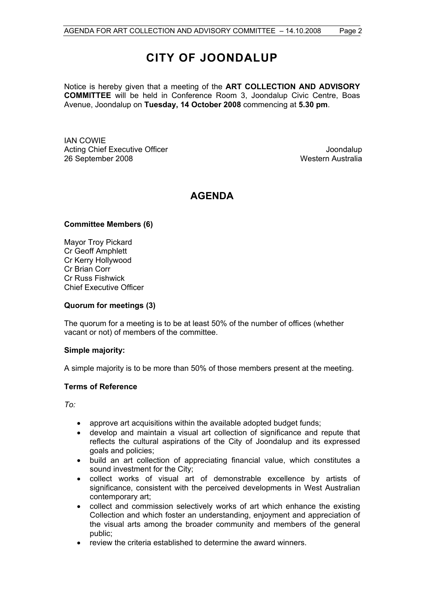# **CITY OF JOONDALUP**

Notice is hereby given that a meeting of the **ART COLLECTION AND ADVISORY COMMITTEE** will be held in Conference Room 3, Joondalup Civic Centre, Boas Avenue, Joondalup on **Tuesday, 14 October 2008** commencing at **5.30 pm**.

IAN COWIE Acting Chief Executive Officer **Joondalup** 26 September 2008 Western Australia

# **AGENDA**

#### **Committee Members (6)**

Mayor Troy Pickard Cr Geoff Amphlett Cr Kerry Hollywood Cr Brian Corr Cr Russ Fishwick Chief Executive Officer

#### **Quorum for meetings (3)**

The quorum for a meeting is to be at least 50% of the number of offices (whether vacant or not) of members of the committee.

#### **Simple majority:**

A simple majority is to be more than 50% of those members present at the meeting.

#### **Terms of Reference**

*To:* 

- approve art acquisitions within the available adopted budget funds;
- develop and maintain a visual art collection of significance and repute that reflects the cultural aspirations of the City of Joondalup and its expressed goals and policies;
- build an art collection of appreciating financial value, which constitutes a sound investment for the City;
- collect works of visual art of demonstrable excellence by artists of significance, consistent with the perceived developments in West Australian contemporary art;
- collect and commission selectively works of art which enhance the existing Collection and which foster an understanding, enjoyment and appreciation of the visual arts among the broader community and members of the general public;
- review the criteria established to determine the award winners.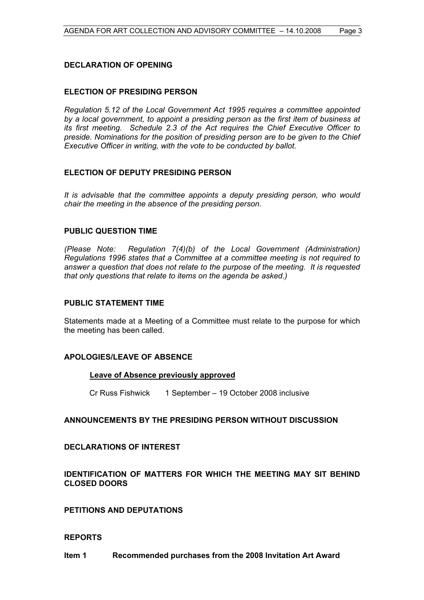#### **DECLARATION OF OPENING**

#### **ELECTION OF PRESIDING PERSON**

*Regulation 5.12 of the Local Government Act 1995 requires a committee appointed by a local government, to appoint a presiding person as the first item of business at its first meeting. Schedule 2.3 of the Act requires the Chief Executive Officer to preside. Nominations for the position of presiding person are to be given to the Chief Executive Officer in writing, with the vote to be conducted by ballot.* 

#### **ELECTION OF DEPUTY PRESIDING PERSON**

*It is advisable that the committee appoints a deputy presiding person, who would chair the meeting in the absence of the presiding person.* 

#### **PUBLIC QUESTION TIME**

*(Please Note: Regulation 7(4)(b) of the Local Government (Administration) Regulations 1996 states that a Committee at a committee meeting is not required to answer a question that does not relate to the purpose of the meeting. It is requested that only questions that relate to items on the agenda be asked.)*

#### **PUBLIC STATEMENT TIME**

Statements made at a Meeting of a Committee must relate to the purpose for which the meeting has been called.

#### **APOLOGIES/LEAVE OF ABSENCE**

#### **Leave of Absence previously approved**

Cr Russ Fishwick 1 September – 19 October 2008 inclusive

#### **ANNOUNCEMENTS BY THE PRESIDING PERSON WITHOUT DISCUSSION**

#### **DECLARATIONS OF INTEREST**

#### **IDENTIFICATION OF MATTERS FOR WHICH THE MEETING MAY SIT BEHIND CLOSED DOORS**

**PETITIONS AND DEPUTATIONS** 

#### **REPORTS**

**Item 1 Recommended purchases from the 2008 Invitation Art Award**